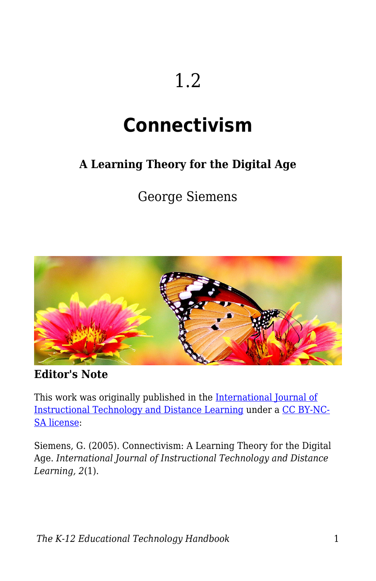# 1.2

# **Connectivism**

#### **A Learning Theory for the Digital Age**

George Siemens



**Editor's Note**

This work was originally published in the [International Journal of](http://www.itdl.org/journal/jan_05/article01.htm) [Instructional Technology and Distance Learning](http://www.itdl.org/journal/jan_05/article01.htm) under a [CC BY-NC-](http://creativecommons.org/licenses/by-nc-sa/1.0)[SA license](http://creativecommons.org/licenses/by-nc-sa/1.0):

Siemens, G. (2005). Connectivism: A Learning Theory for the Digital Age. *International Journal of Instructional Technology and Distance Learning, 2*(1).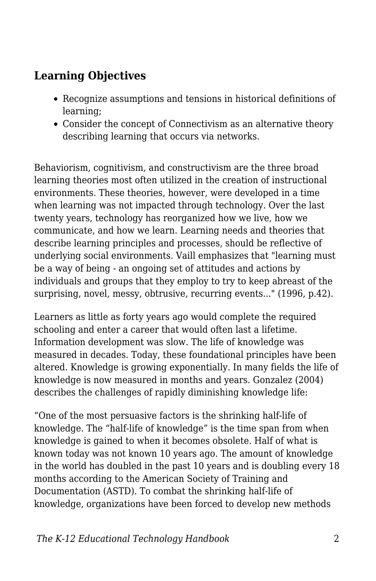#### **Learning Objectives**

- Recognize assumptions and tensions in historical definitions of learning;
- Consider the concept of Connectivism as an alternative theory describing learning that occurs via networks.

Behaviorism, cognitivism, and constructivism are the three broad learning theories most often utilized in the creation of instructional environments. These theories, however, were developed in a time when learning was not impacted through technology. Over the last twenty years, technology has reorganized how we live, how we communicate, and how we learn. Learning needs and theories that describe learning principles and processes, should be reflective of underlying social environments. Vaill emphasizes that "learning must be a way of being - an ongoing set of attitudes and actions by individuals and groups that they employ to try to keep abreast of the surprising, novel, messy, obtrusive, recurring events..." (1996, p.42).

Learners as little as forty years ago would complete the required schooling and enter a career that would often last a lifetime. Information development was slow. The life of knowledge was measured in decades. Today, these foundational principles have been altered. Knowledge is growing exponentially. In many fields the life of knowledge is now measured in months and years. Gonzalez (2004) describes the challenges of rapidly diminishing knowledge life:

"One of the most persuasive factors is the shrinking half-life of knowledge. The "half-life of knowledge" is the time span from when knowledge is gained to when it becomes obsolete. Half of what is known today was not known 10 years ago. The amount of knowledge in the world has doubled in the past 10 years and is doubling every 18 months according to the American Society of Training and Documentation (ASTD). To combat the shrinking half-life of knowledge, organizations have been forced to develop new methods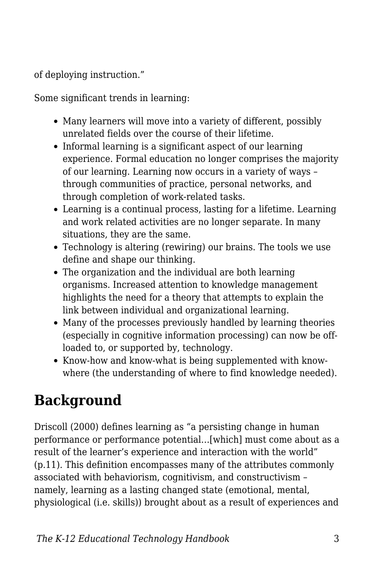of deploying instruction."

Some significant trends in learning:

- Many learners will move into a variety of different, possibly unrelated fields over the course of their lifetime.
- Informal learning is a significant aspect of our learning experience. Formal education no longer comprises the majority of our learning. Learning now occurs in a variety of ways – through communities of practice, personal networks, and through completion of work-related tasks.
- Learning is a continual process, lasting for a lifetime. Learning and work related activities are no longer separate. In many situations, they are the same.
- Technology is altering (rewiring) our brains. The tools we use define and shape our thinking.
- The organization and the individual are both learning organisms. Increased attention to knowledge management highlights the need for a theory that attempts to explain the link between individual and organizational learning.
- Many of the processes previously handled by learning theories (especially in cognitive information processing) can now be offloaded to, or supported by, technology.
- Know-how and know-what is being supplemented with knowwhere (the understanding of where to find knowledge needed).

## **Background**

Driscoll (2000) defines learning as "a persisting change in human performance or performance potential…[which] must come about as a result of the learner's experience and interaction with the world" (p.11). This definition encompasses many of the attributes commonly associated with behaviorism, cognitivism, and constructivism – namely, learning as a lasting changed state (emotional, mental, physiological (i.e. skills)) brought about as a result of experiences and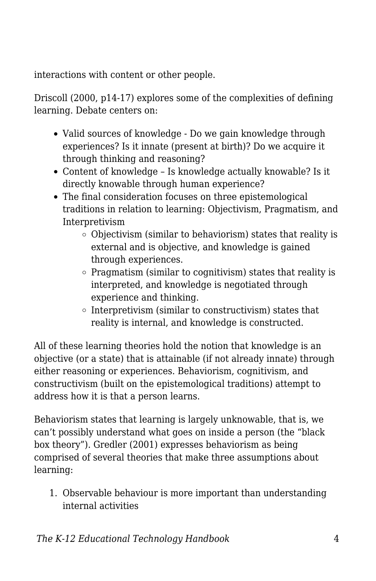interactions with content or other people.

Driscoll (2000, p14-17) explores some of the complexities of defining learning. Debate centers on:

- Valid sources of knowledge Do we gain knowledge through experiences? Is it innate (present at birth)? Do we acquire it through thinking and reasoning?
- Content of knowledge Is knowledge actually knowable? Is it directly knowable through human experience?
- The final consideration focuses on three epistemological traditions in relation to learning: Objectivism, Pragmatism, and Interpretivism
	- Objectivism (similar to behaviorism) states that reality is external and is objective, and knowledge is gained through experiences.
	- $\circ$  Pragmatism (similar to cognitivism) states that reality is interpreted, and knowledge is negotiated through experience and thinking.
	- $\circ$  Interpretivism (similar to constructivism) states that reality is internal, and knowledge is constructed.

All of these learning theories hold the notion that knowledge is an objective (or a state) that is attainable (if not already innate) through either reasoning or experiences. Behaviorism, cognitivism, and constructivism (built on the epistemological traditions) attempt to address how it is that a person learns.

Behaviorism states that learning is largely unknowable, that is, we can't possibly understand what goes on inside a person (the "black box theory"). Gredler (2001) expresses behaviorism as being comprised of several theories that make three assumptions about learning:

1. Observable behaviour is more important than understanding internal activities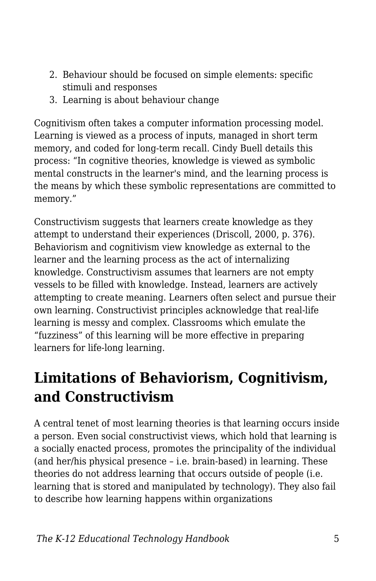- 2. Behaviour should be focused on simple elements: specific stimuli and responses
- 3. Learning is about behaviour change

Cognitivism often takes a computer information processing model. Learning is viewed as a process of inputs, managed in short term memory, and coded for long-term recall. Cindy Buell details this process: "In cognitive theories, knowledge is viewed as symbolic mental constructs in the learner's mind, and the learning process is the means by which these symbolic representations are committed to memory."

Constructivism suggests that learners create knowledge as they attempt to understand their experiences (Driscoll, 2000, p. 376). Behaviorism and cognitivism view knowledge as external to the learner and the learning process as the act of internalizing knowledge. Constructivism assumes that learners are not empty vessels to be filled with knowledge. Instead, learners are actively attempting to create meaning. Learners often select and pursue their own learning. Constructivist principles acknowledge that real-life learning is messy and complex. Classrooms which emulate the "fuzziness" of this learning will be more effective in preparing learners for life-long learning.

### **Limitations of Behaviorism, Cognitivism, and Constructivism**

A central tenet of most learning theories is that learning occurs inside a person. Even social constructivist views, which hold that learning is a socially enacted process, promotes the principality of the individual (and her/his physical presence – i.e. brain-based) in learning. These theories do not address learning that occurs outside of people (i.e. learning that is stored and manipulated by technology). They also fail to describe how learning happens within organizations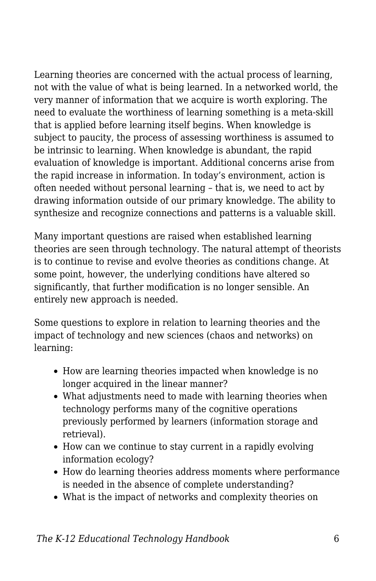Learning theories are concerned with the actual process of learning, not with the value of what is being learned. In a networked world, the very manner of information that we acquire is worth exploring. The need to evaluate the worthiness of learning something is a meta-skill that is applied before learning itself begins. When knowledge is subject to paucity, the process of assessing worthiness is assumed to be intrinsic to learning. When knowledge is abundant, the rapid evaluation of knowledge is important. Additional concerns arise from the rapid increase in information. In today's environment, action is often needed without personal learning – that is, we need to act by drawing information outside of our primary knowledge. The ability to synthesize and recognize connections and patterns is a valuable skill.

Many important questions are raised when established learning theories are seen through technology. The natural attempt of theorists is to continue to revise and evolve theories as conditions change. At some point, however, the underlying conditions have altered so significantly, that further modification is no longer sensible. An entirely new approach is needed.

Some questions to explore in relation to learning theories and the impact of technology and new sciences (chaos and networks) on learning:

- How are learning theories impacted when knowledge is no longer acquired in the linear manner?
- What adjustments need to made with learning theories when technology performs many of the cognitive operations previously performed by learners (information storage and retrieval).
- How can we continue to stay current in a rapidly evolving information ecology?
- How do learning theories address moments where performance is needed in the absence of complete understanding?
- What is the impact of networks and complexity theories on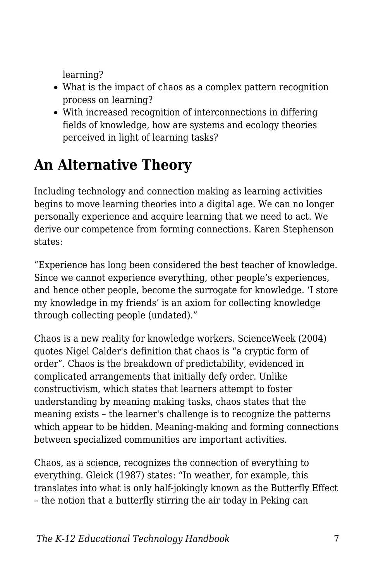learning?

- What is the impact of chaos as a complex pattern recognition process on learning?
- With increased recognition of interconnections in differing fields of knowledge, how are systems and ecology theories perceived in light of learning tasks?

### **An Alternative Theory**

Including technology and connection making as learning activities begins to move learning theories into a digital age. We can no longer personally experience and acquire learning that we need to act. We derive our competence from forming connections. Karen Stephenson states:

"Experience has long been considered the best teacher of knowledge. Since we cannot experience everything, other people's experiences, and hence other people, become the surrogate for knowledge. 'I store my knowledge in my friends' is an axiom for collecting knowledge through collecting people (undated)."

Chaos is a new reality for knowledge workers. ScienceWeek (2004) quotes Nigel Calder's definition that chaos is "a cryptic form of order". Chaos is the breakdown of predictability, evidenced in complicated arrangements that initially defy order. Unlike constructivism, which states that learners attempt to foster understanding by meaning making tasks, chaos states that the meaning exists – the learner's challenge is to recognize the patterns which appear to be hidden. Meaning-making and forming connections between specialized communities are important activities.

Chaos, as a science, recognizes the connection of everything to everything. Gleick (1987) states: "In weather, for example, this translates into what is only half-jokingly known as the Butterfly Effect – the notion that a butterfly stirring the air today in Peking can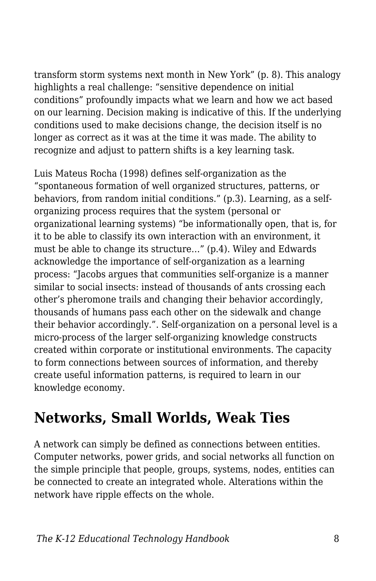transform storm systems next month in New York" (p. 8). This analogy highlights a real challenge: "sensitive dependence on initial conditions" profoundly impacts what we learn and how we act based on our learning. Decision making is indicative of this. If the underlying conditions used to make decisions change, the decision itself is no longer as correct as it was at the time it was made. The ability to recognize and adjust to pattern shifts is a key learning task.

Luis Mateus Rocha (1998) defines self-organization as the "spontaneous formation of well organized structures, patterns, or behaviors, from random initial conditions." (p.3). Learning, as a selforganizing process requires that the system (personal or organizational learning systems) "be informationally open, that is, for it to be able to classify its own interaction with an environment, it must be able to change its structure…" (p.4). Wiley and Edwards acknowledge the importance of self-organization as a learning process: "Jacobs argues that communities self-organize is a manner similar to social insects: instead of thousands of ants crossing each other's pheromone trails and changing their behavior accordingly, thousands of humans pass each other on the sidewalk and change their behavior accordingly.". Self-organization on a personal level is a micro-process of the larger self-organizing knowledge constructs created within corporate or institutional environments. The capacity to form connections between sources of information, and thereby create useful information patterns, is required to learn in our knowledge economy.

#### **Networks, Small Worlds, Weak Ties**

A network can simply be defined as connections between entities. Computer networks, power grids, and social networks all function on the simple principle that people, groups, systems, nodes, entities can be connected to create an integrated whole. Alterations within the network have ripple effects on the whole.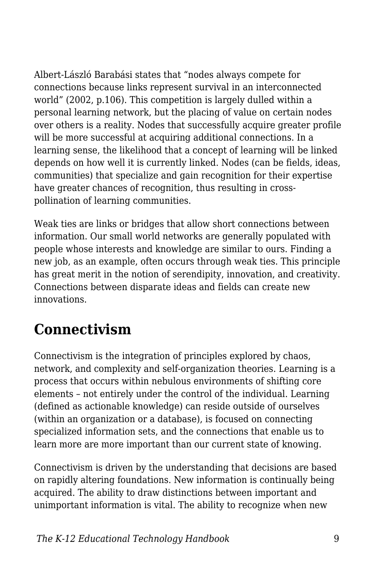Albert-László Barabási states that "nodes always compete for connections because links represent survival in an interconnected world" (2002, p.106). This competition is largely dulled within a personal learning network, but the placing of value on certain nodes over others is a reality. Nodes that successfully acquire greater profile will be more successful at acquiring additional connections. In a learning sense, the likelihood that a concept of learning will be linked depends on how well it is currently linked. Nodes (can be fields, ideas, communities) that specialize and gain recognition for their expertise have greater chances of recognition, thus resulting in crosspollination of learning communities.

Weak ties are links or bridges that allow short connections between information. Our small world networks are generally populated with people whose interests and knowledge are similar to ours. Finding a new job, as an example, often occurs through weak ties. This principle has great merit in the notion of serendipity, innovation, and creativity. Connections between disparate ideas and fields can create new innovations.

### **Connectivism**

Connectivism is the integration of principles explored by chaos, network, and complexity and self-organization theories. Learning is a process that occurs within nebulous environments of shifting core elements – not entirely under the control of the individual. Learning (defined as actionable knowledge) can reside outside of ourselves (within an organization or a database), is focused on connecting specialized information sets, and the connections that enable us to learn more are more important than our current state of knowing.

Connectivism is driven by the understanding that decisions are based on rapidly altering foundations. New information is continually being acquired. The ability to draw distinctions between important and unimportant information is vital. The ability to recognize when new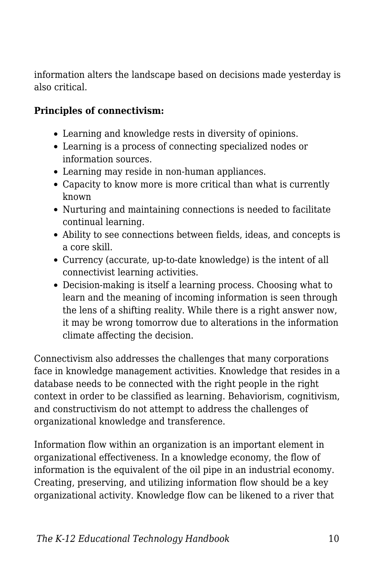information alters the landscape based on decisions made yesterday is also critical.

#### **Principles of connectivism:**

- Learning and knowledge rests in diversity of opinions.
- Learning is a process of connecting specialized nodes or information sources.
- Learning may reside in non-human appliances.
- Capacity to know more is more critical than what is currently known
- Nurturing and maintaining connections is needed to facilitate continual learning.
- Ability to see connections between fields, ideas, and concepts is a core skill.
- Currency (accurate, up-to-date knowledge) is the intent of all connectivist learning activities.
- Decision-making is itself a learning process. Choosing what to learn and the meaning of incoming information is seen through the lens of a shifting reality. While there is a right answer now, it may be wrong tomorrow due to alterations in the information climate affecting the decision.

Connectivism also addresses the challenges that many corporations face in knowledge management activities. Knowledge that resides in a database needs to be connected with the right people in the right context in order to be classified as learning. Behaviorism, cognitivism, and constructivism do not attempt to address the challenges of organizational knowledge and transference.

Information flow within an organization is an important element in organizational effectiveness. In a knowledge economy, the flow of information is the equivalent of the oil pipe in an industrial economy. Creating, preserving, and utilizing information flow should be a key organizational activity. Knowledge flow can be likened to a river that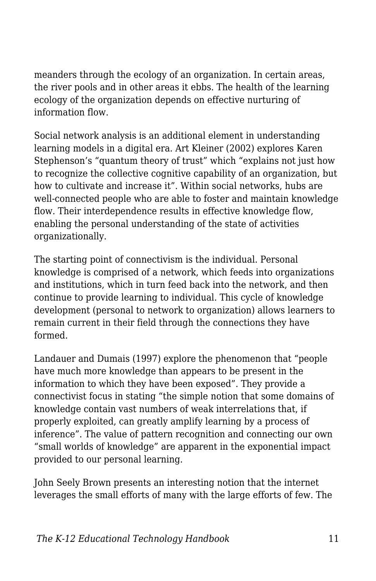meanders through the ecology of an organization. In certain areas, the river pools and in other areas it ebbs. The health of the learning ecology of the organization depends on effective nurturing of information flow.

Social network analysis is an additional element in understanding learning models in a digital era. Art Kleiner (2002) explores Karen Stephenson's "quantum theory of trust" which "explains not just how to recognize the collective cognitive capability of an organization, but how to cultivate and increase it". Within social networks, hubs are well-connected people who are able to foster and maintain knowledge flow. Their interdependence results in effective knowledge flow, enabling the personal understanding of the state of activities organizationally.

The starting point of connectivism is the individual. Personal knowledge is comprised of a network, which feeds into organizations and institutions, which in turn feed back into the network, and then continue to provide learning to individual. This cycle of knowledge development (personal to network to organization) allows learners to remain current in their field through the connections they have formed.

Landauer and Dumais (1997) explore the phenomenon that "people have much more knowledge than appears to be present in the information to which they have been exposed". They provide a connectivist focus in stating "the simple notion that some domains of knowledge contain vast numbers of weak interrelations that, if properly exploited, can greatly amplify learning by a process of inference". The value of pattern recognition and connecting our own "small worlds of knowledge" are apparent in the exponential impact provided to our personal learning.

John Seely Brown presents an interesting notion that the internet leverages the small efforts of many with the large efforts of few. The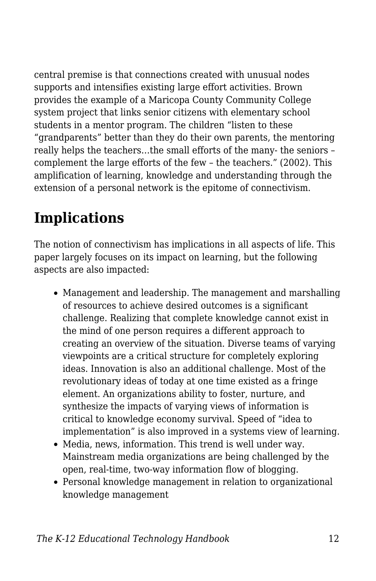central premise is that connections created with unusual nodes supports and intensifies existing large effort activities. Brown provides the example of a Maricopa County Community College system project that links senior citizens with elementary school students in a mentor program. The children "listen to these "grandparents" better than they do their own parents, the mentoring really helps the teachers…the small efforts of the many- the seniors – complement the large efforts of the few – the teachers." (2002). This amplification of learning, knowledge and understanding through the extension of a personal network is the epitome of connectivism.

### **Implications**

The notion of connectivism has implications in all aspects of life. This paper largely focuses on its impact on learning, but the following aspects are also impacted:

- Management and leadership. The management and marshalling of resources to achieve desired outcomes is a significant challenge. Realizing that complete knowledge cannot exist in the mind of one person requires a different approach to creating an overview of the situation. Diverse teams of varying viewpoints are a critical structure for completely exploring ideas. Innovation is also an additional challenge. Most of the revolutionary ideas of today at one time existed as a fringe element. An organizations ability to foster, nurture, and synthesize the impacts of varying views of information is critical to knowledge economy survival. Speed of "idea to implementation" is also improved in a systems view of learning.
- Media, news, information. This trend is well under way. Mainstream media organizations are being challenged by the open, real-time, two-way information flow of blogging.
- Personal knowledge management in relation to organizational knowledge management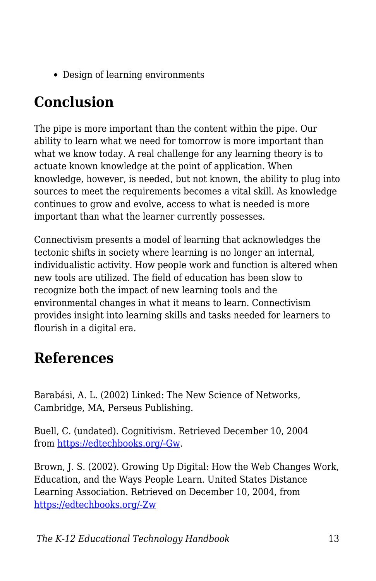• Design of learning environments

## **Conclusion**

The pipe is more important than the content within the pipe. Our ability to learn what we need for tomorrow is more important than what we know today. A real challenge for any learning theory is to actuate known knowledge at the point of application. When knowledge, however, is needed, but not known, the ability to plug into sources to meet the requirements becomes a vital skill. As knowledge continues to grow and evolve, access to what is needed is more important than what the learner currently possesses.

Connectivism presents a model of learning that acknowledges the tectonic shifts in society where learning is no longer an internal, individualistic activity. How people work and function is altered when new tools are utilized. The field of education has been slow to recognize both the impact of new learning tools and the environmental changes in what it means to learn. Connectivism provides insight into learning skills and tasks needed for learners to flourish in a digital era.

### **References**

Barabási, A. L. (2002) Linked: The New Science of Networks, Cambridge, MA, Perseus Publishing.

Buell, C. (undated). Cognitivism. Retrieved December 10, 2004 from [https://edtechbooks.org/-Gw.](http://web.cocc.edu/cbuell/theories/cognitivism.htm)

Brown, J. S. (2002). Growing Up Digital: How the Web Changes Work, Education, and the Ways People Learn. United States Distance Learning Association. Retrieved on December 10, 2004, from [https://edtechbooks.org/-Zw](http://www.usdla.org/html/journal/FEB02_Issue/article01.html)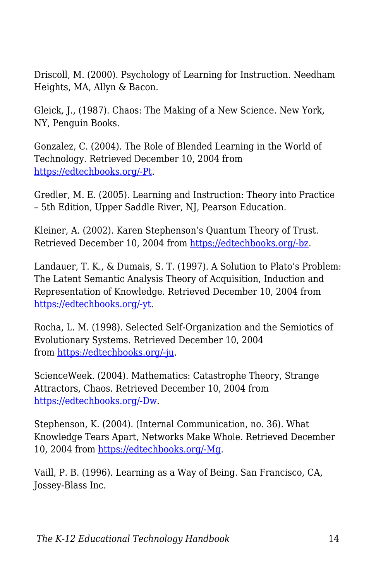Driscoll, M. (2000). Psychology of Learning for Instruction. Needham Heights, MA, Allyn & Bacon.

Gleick, J., (1987). Chaos: The Making of a New Science. New York, NY, Penguin Books.

Gonzalez, C. (2004). The Role of Blended Learning in the World of Technology. Retrieved December 10, 2004 from [https://edtechbooks.org/-Pt](http://www.unt.edu/benchmarks/archives/2004/september04/eis.htm).

Gredler, M. E. (2005). Learning and Instruction: Theory into Practice – 5th Edition, Upper Saddle River, NJ, Pearson Education.

Kleiner, A. (2002). Karen Stephenson's Quantum Theory of Trust. Retrieved December 10, 2004 from [https://edtechbooks.org/-bz](http://www.netform.com/html/s+b%20article.pdf).

Landauer, T. K., & Dumais, S. T. (1997). A Solution to Plato's Problem: The Latent Semantic Analysis Theory of Acquisition, Induction and Representation of Knowledge. Retrieved December 10, 2004 from [https://edtechbooks.org/-yt](http://lsa.colorado.edu/papers/plato/plato.annote.html).

Rocha, L. M. (1998). Selected Self-Organization and the Semiotics of Evolutionary Systems. Retrieved December 10, 2004 from [https://edtechbooks.org/-ju](http://informatics.indiana.edu/rocha/ises.html).

ScienceWeek. (2004). Mathematics: Catastrophe Theory, Strange Attractors, Chaos. Retrieved December 10, 2004 from [https://edtechbooks.org/-Dw](http://scienceweek.com/2003/sc031226-2.htm).

Stephenson, K. (2004). (Internal Communication, no. 36). What Knowledge Tears Apart, Networks Make Whole. Retrieved December 10, 2004 from [https://edtechbooks.org/-Mg.](http://www.netform.com/html/icf.pdf)

Vaill, P. B. (1996). Learning as a Way of Being. San Francisco, CA, Jossey-Blass Inc.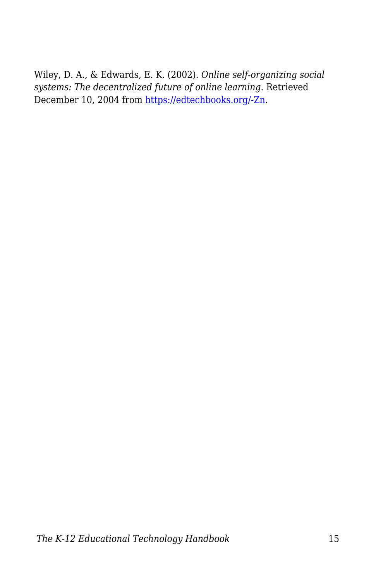Wiley, D. A., & Edwards, E. K. (2002). *Online self-organizing social systems: The decentralized future of online learning.* Retrieved December 10, 2004 from [https://edtechbooks.org/-Zn](http://wiley.ed.usu.edu/docs/ososs.pdf).